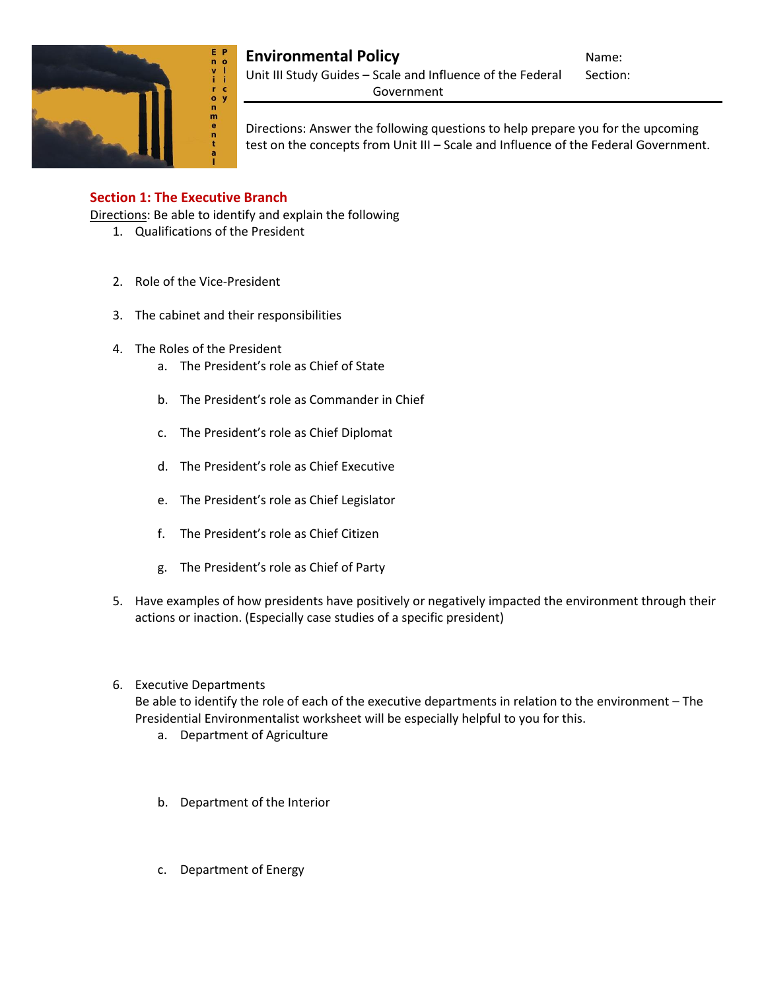

# **Environmental Policy Name:** Name:

Unit III Study Guides - Scale and Influence of the Federal Section: Government

Directions: Answer the following questions to help prepare you for the upcoming test on the concepts from Unit III – Scale and Influence of the Federal Government.

## **Section 1: The Executive Branch**

Directions: Be able to identify and explain the following

- 1. Qualifications of the President
- 2. Role of the Vice-President
- 3. The cabinet and their responsibilities
- 4. The Roles of the President
	- a. The President's role as Chief of State
	- b. The President's role as Commander in Chief
	- c. The President's role as Chief Diplomat
	- d. The President's role as Chief Executive
	- e. The President's role as Chief Legislator
	- f. The President's role as Chief Citizen
	- g. The President's role as Chief of Party
- 5. Have examples of how presidents have positively or negatively impacted the environment through their actions or inaction. (Especially case studies of a specific president)
- 6. Executive Departments

Be able to identify the role of each of the executive departments in relation to the environment – The Presidential Environmentalist worksheet will be especially helpful to you for this.

- a. Department of Agriculture
- b. Department of the Interior
- c. Department of Energy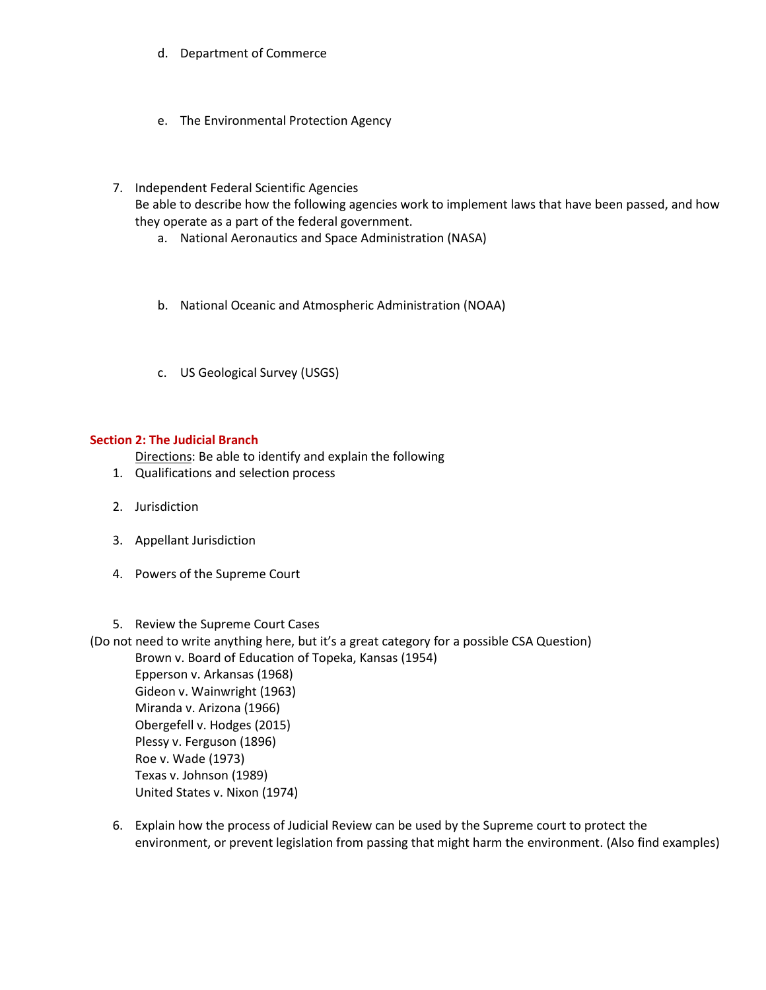- d. Department of Commerce
- e. The Environmental Protection Agency
- 7. Independent Federal Scientific Agencies

Be able to describe how the following agencies work to implement laws that have been passed, and how they operate as a part of the federal government.

- a. National Aeronautics and Space Administration (NASA)
- b. National Oceanic and Atmospheric Administration (NOAA)
- c. US Geological Survey (USGS)

### **Section 2: The Judicial Branch**

Directions: Be able to identify and explain the following

- 1. Qualifications and selection process
- 2. Jurisdiction
- 3. Appellant Jurisdiction
- 4. Powers of the Supreme Court
- 5. Review the Supreme Court Cases

(Do not need to write anything here, but it's a great category for a possible CSA Question)

Brown v. Board of Education of Topeka, Kansas (1954) Epperson v. Arkansas (1968) Gideon v. Wainwright (1963) Miranda v. Arizona (1966) Obergefell v. Hodges (2015) Plessy v. Ferguson (1896) Roe v. Wade (1973) Texas v. Johnson (1989) United States v. Nixon (1974)

6. Explain how the process of Judicial Review can be used by the Supreme court to protect the environment, or prevent legislation from passing that might harm the environment. (Also find examples)